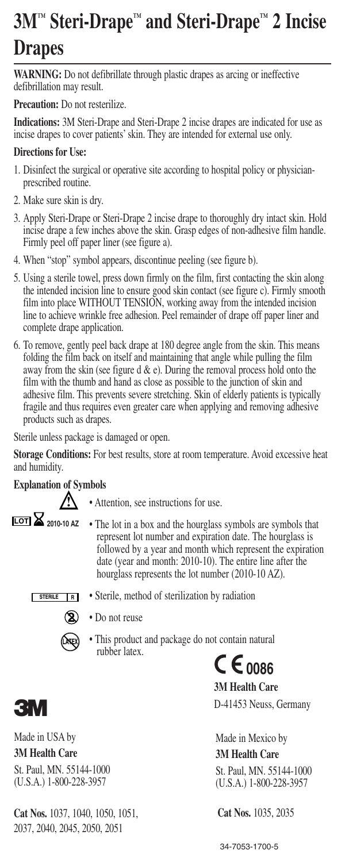# **3M™ Steri-Drape™ and Steri-Drape™ 2 Incise Drapes**

**WARNING:** Do not defibrillate through plastic drapes as arcing or ineffective defibrillation may result.

**Precaution:** Do not resterilize.

**Indications:** 3M Steri-Drape and Steri-Drape 2 incise drapes are indicated for use as incise drapes to cover patients' skin. They are intended for external use only.

#### **Directions for Use:**

- 1. Disinfect the surgical or operative site according to hospital policy or physicianprescribed routine.
- 2. Make sure skin is dry.
- 3. Apply Steri-Drape or Steri-Drape 2 incise drape to thoroughly dry intact skin. Hold incise drape a few inches above the skin. Grasp edges of non-adhesive film handle. Firmly peel off paper liner (see figure a).
- 4. When "stop" symbol appears, discontinue peeling (see figure b).
- 5. Using a sterile towel, press down firmly on the film, first contacting the skin along the intended incision line to ensure good skin contact (see figure c). Firmly smooth film into place WITHOUT TENSION, working away from the intended incision line to achieve wrinkle free adhesion. Peel remainder of drape off paper liner and complete drape application.
- 6. To remove, gently peel back drape at 180 degree angle from the skin. This means folding the film back on itself and maintaining that angle while pulling the film away from the skin (see figure  $d \& e$ ). During the removal process hold onto the film with the thumb and hand as close as possible to the junction of skin and adhesive film. This prevents severe stretching. Skin of elderly patients is typically fragile and thus requires even greater care when applying and removing adhesive products such as drapes.

Sterile unless package is damaged or open.

**Storage Conditions:** For best results, store at room temperature. Avoid excessive heat and humidity.

#### **Explanation of Symbols**

**LOT 2010-10 AZ !**

- Attention, see instructions for use.
- The lot in a box and the hourglass symbols are symbols that represent lot number and expiration date. The hourglass is followed by a year and month which represent the expiration date (year and month: 2010-10). The entire line after the hourglass represents the lot number (2010-10 AZ).

• Sterile, method of sterilization by radiation **STERILE R**



- Do not reuse
	- This product and package do not contain natural rubber latex.  $C \epsilon_{0086}$

**3M Health Care** D-41453 Neuss, Germany

Made in Mexico by **3M Health Care** St. Paul, MN. 55144-1000 (U.S.A.) 1-800-228-3957 **EXECUBER 18 FINS PRODUCE AND PRODUCE AND PRODUCE AND AVAILABLE STATES ON BUSICIES.**<br>
33 M Health Care<br>
33 M Health Care<br>
33 M Health Care<br>
33 M Health Care<br>
33 M Health Care<br>
34-7053-1700-5 (U.S.A.) 1-800-2<br>
34-7053-1700-

**Cat Nos.** 1035, 2035

**3**

Made in USA by **3M Health Care** St. Paul, MN. 55144-1000 (U.S.A.) 1-800-228-3957

**Cat Nos.** 1037, 1040, 1050, 1051, 2037, 2040, 2045, 2050, 2051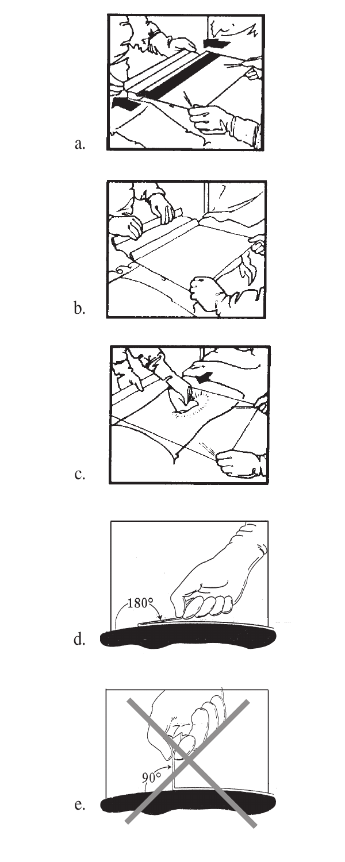